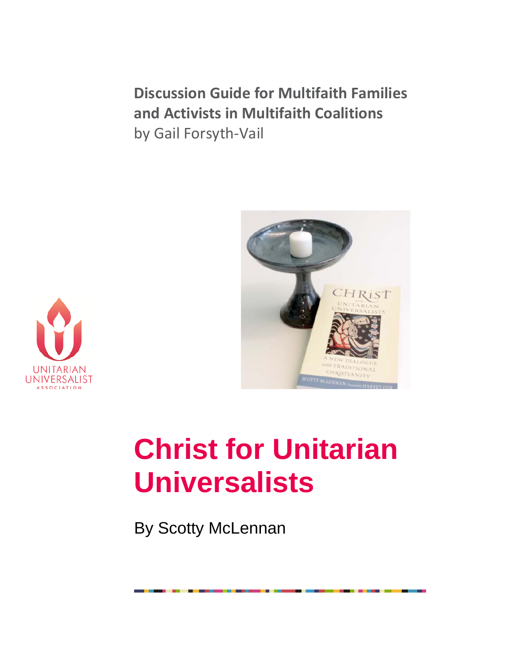**Discussion Guide for Multifaith Families and Activists in Multifaith Coalitions** by Gail Forsyth-Vail





# **Christ for Unitarian Universalists**

By Scotty McLennan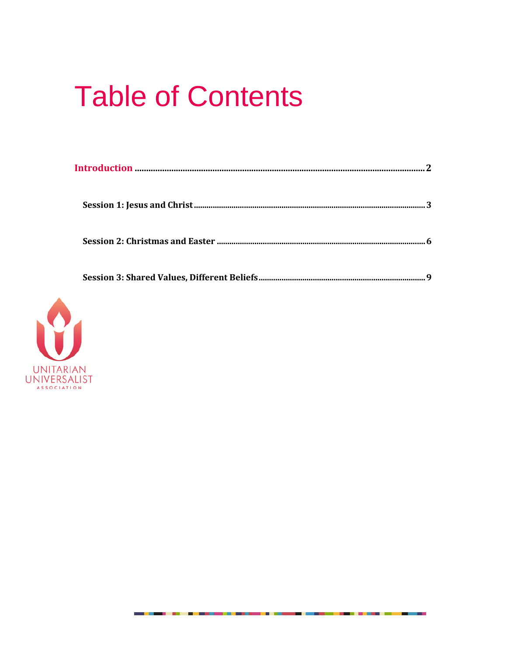# **Table of Contents**

. . .

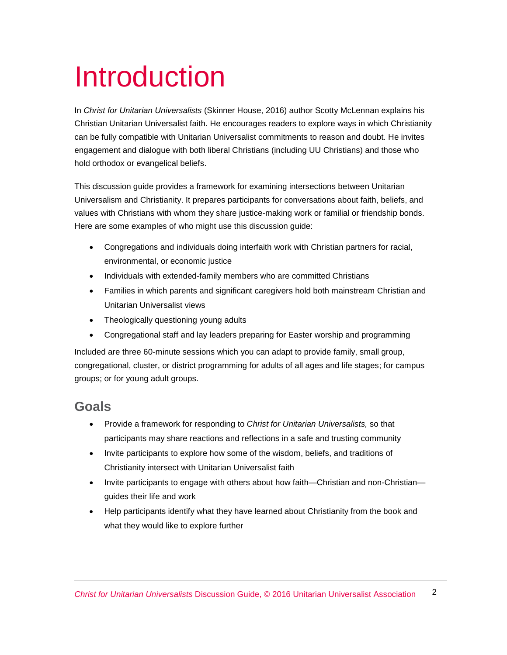# Introduction

In *Christ for Unitarian Universalists* (Skinner House, 2016) author Scotty McLennan explains his Christian Unitarian Universalist faith. He encourages readers to explore ways in which Christianity can be fully compatible with Unitarian Universalist commitments to reason and doubt. He invites engagement and dialogue with both liberal Christians (including UU Christians) and those who hold orthodox or evangelical beliefs.

This discussion guide provides a framework for examining intersections between Unitarian Universalism and Christianity. It prepares participants for conversations about faith, beliefs, and values with Christians with whom they share justice-making work or familial or friendship bonds. Here are some examples of who might use this discussion guide:

- Congregations and individuals doing interfaith work with Christian partners for racial, environmental, or economic justice
- Individuals with extended-family members who are committed Christians
- Families in which parents and significant caregivers hold both mainstream Christian and Unitarian Universalist views
- Theologically questioning young adults
- Congregational staff and lay leaders preparing for Easter worship and programming

Included are three 60-minute sessions which you can adapt to provide family, small group, congregational, cluster, or district programming for adults of all ages and life stages; for campus groups; or for young adult groups.

#### **Goals**

- Provide a framework for responding to *Christ for Unitarian Universalists,* so that participants may share reactions and reflections in a safe and trusting community
- Invite participants to explore how some of the wisdom, beliefs, and traditions of Christianity intersect with Unitarian Universalist faith
- Invite participants to engage with others about how faith—Christian and non-Christian guides their life and work
- Help participants identify what they have learned about Christianity from the book and what they would like to explore further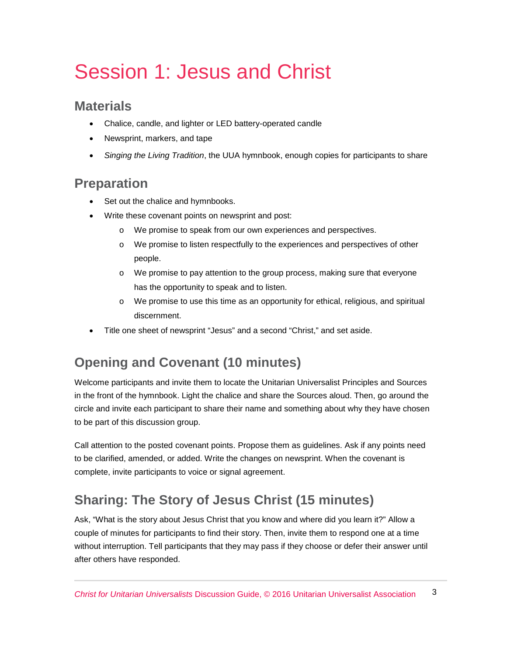# Session 1: Jesus and Christ

#### **Materials**

- Chalice, candle, and lighter or LED battery-operated candle
- Newsprint, markers, and tape
- *Singing the Living Tradition*, the UUA hymnbook, enough copies for participants to share

#### **Preparation**

- Set out the chalice and hymnbooks.
- Write these covenant points on newsprint and post:
	- o We promise to speak from our own experiences and perspectives.
	- o We promise to listen respectfully to the experiences and perspectives of other people.
	- o We promise to pay attention to the group process, making sure that everyone has the opportunity to speak and to listen.
	- o We promise to use this time as an opportunity for ethical, religious, and spiritual discernment.
- Title one sheet of newsprint "Jesus" and a second "Christ," and set aside.

## **Opening and Covenant (10 minutes)**

Welcome participants and invite them to locate the Unitarian Universalist Principles and Sources in the front of the hymnbook. Light the chalice and share the Sources aloud. Then, go around the circle and invite each participant to share their name and something about why they have chosen to be part of this discussion group.

Call attention to the posted covenant points. Propose them as guidelines. Ask if any points need to be clarified, amended, or added. Write the changes on newsprint. When the covenant is complete, invite participants to voice or signal agreement.

## **Sharing: The Story of Jesus Christ (15 minutes)**

Ask, "What is the story about Jesus Christ that you know and where did you learn it?" Allow a couple of minutes for participants to find their story. Then, invite them to respond one at a time without interruption. Tell participants that they may pass if they choose or defer their answer until after others have responded.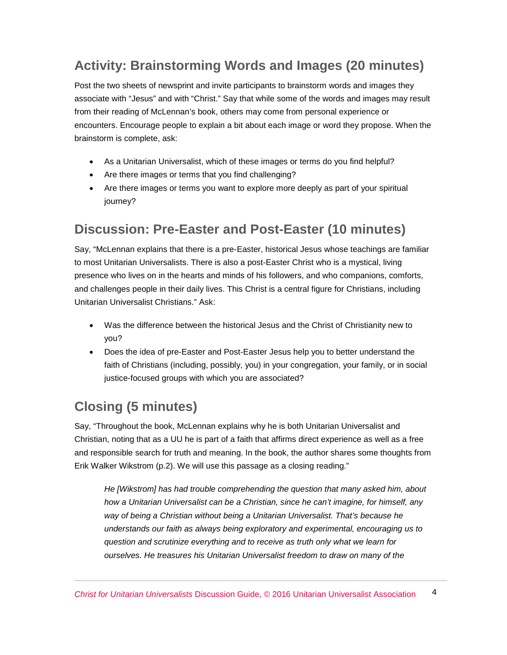### **Activity: Brainstorming Words and Images (20 minutes)**

Post the two sheets of newsprint and invite participants to brainstorm words and images they associate with "Jesus" and with "Christ." Say that while some of the words and images may result from their reading of McLennan's book, others may come from personal experience or encounters. Encourage people to explain a bit about each image or word they propose. When the brainstorm is complete, ask:

- As a Unitarian Universalist, which of these images or terms do you find helpful?
- Are there images or terms that you find challenging?
- Are there images or terms you want to explore more deeply as part of your spiritual iourney?

#### **Discussion: Pre-Easter and Post-Easter (10 minutes)**

Say, "McLennan explains that there is a pre-Easter, historical Jesus whose teachings are familiar to most Unitarian Universalists. There is also a post-Easter Christ who is a mystical, living presence who lives on in the hearts and minds of his followers, and who companions, comforts, and challenges people in their daily lives. This Christ is a central figure for Christians, including Unitarian Universalist Christians." Ask:

- Was the difference between the historical Jesus and the Christ of Christianity new to you?
- Does the idea of pre-Easter and Post-Easter Jesus help you to better understand the faith of Christians (including, possibly, you) in your congregation, your family, or in social justice-focused groups with which you are associated?

# **Closing (5 minutes)**

Say, "Throughout the book, McLennan explains why he is both Unitarian Universalist and Christian, noting that as a UU he is part of a faith that affirms direct experience as well as a free and responsible search for truth and meaning. In the book, the author shares some thoughts from Erik Walker Wikstrom (p.2). We will use this passage as a closing reading."

*He [Wikstrom] has had trouble comprehending the question that many asked him, about how a Unitarian Universalist can be a Christian, since he can't imagine, for himself, any way of being a Christian without being a Unitarian Universalist. That's because he understands our faith as always being exploratory and experimental, encouraging us to question and scrutinize everything and to receive as truth only what we learn for ourselves. He treasures his Unitarian Universalist freedom to draw on many of the*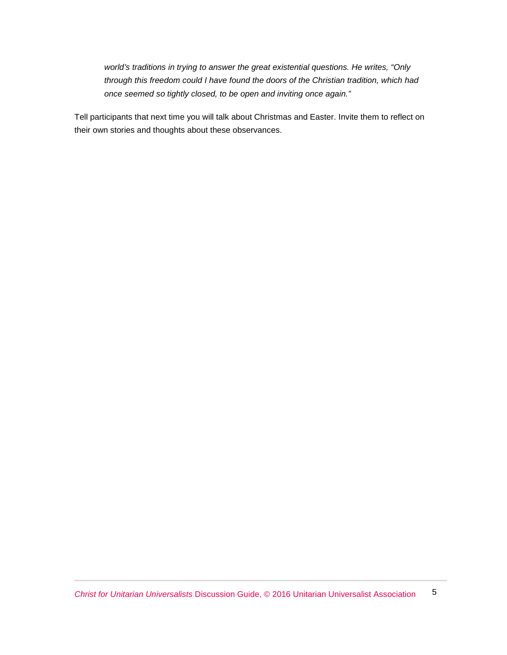*world's traditions in trying to answer the great existential questions. He writes, "Only through this freedom could I have found the doors of the Christian tradition, which had once seemed so tightly closed, to be open and inviting once again."*

Tell participants that next time you will talk about Christmas and Easter. Invite them to reflect on their own stories and thoughts about these observances.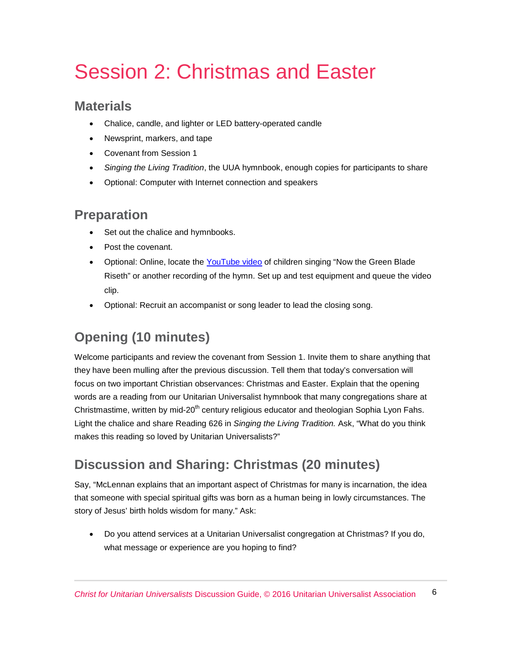# Session 2: Christmas and Easter

#### **Materials**

- Chalice, candle, and lighter or LED battery-operated candle
- Newsprint, markers, and tape
- Covenant from Session 1
- *Singing the Living Tradition*, the UUA hymnbook, enough copies for participants to share
- Optional: Computer with Internet connection and speakers

#### **Preparation**

- Set out the chalice and hymnbooks.
- Post the covenant.
- Optional: Online, locate the [YouTube video](https://www.youtube.com/watch?v=smDFGgjQp3Q) of children singing "Now the Green Blade Riseth" or another recording of the hymn. Set up and test equipment and queue the video clip.
- Optional: Recruit an accompanist or song leader to lead the closing song.

# **Opening (10 minutes)**

Welcome participants and review the covenant from Session 1. Invite them to share anything that they have been mulling after the previous discussion. Tell them that today's conversation will focus on two important Christian observances: Christmas and Easter. Explain that the opening words are a reading from our Unitarian Universalist hymnbook that many congregations share at Christmastime, written by mid-20<sup>th</sup> century religious educator and theologian Sophia Lyon Fahs. Light the chalice and share Reading 626 in *Singing the Living Tradition.* Ask, "What do you think makes this reading so loved by Unitarian Universalists?"

## **Discussion and Sharing: Christmas (20 minutes)**

Say, "McLennan explains that an important aspect of Christmas for many is incarnation, the idea that someone with special spiritual gifts was born as a human being in lowly circumstances. The story of Jesus' birth holds wisdom for many." Ask:

• Do you attend services at a Unitarian Universalist congregation at Christmas? If you do, what message or experience are you hoping to find?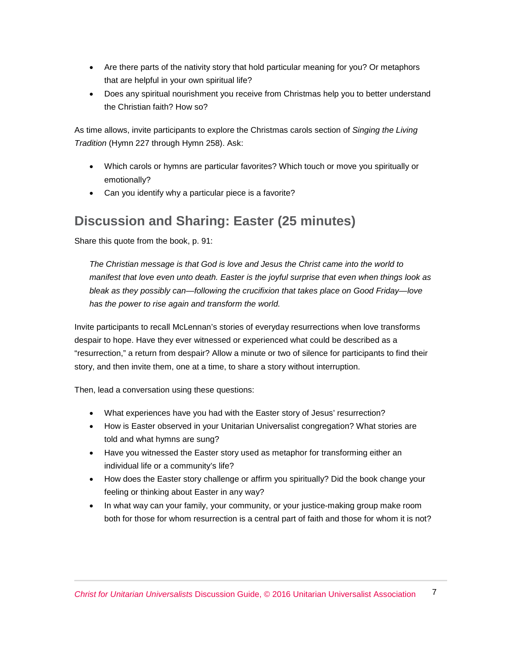- Are there parts of the nativity story that hold particular meaning for you? Or metaphors that are helpful in your own spiritual life?
- Does any spiritual nourishment you receive from Christmas help you to better understand the Christian faith? How so?

As time allows, invite participants to explore the Christmas carols section of *Singing the Living Tradition* (Hymn 227 through Hymn 258). Ask:

- Which carols or hymns are particular favorites? Which touch or move you spiritually or emotionally?
- Can you identify why a particular piece is a favorite?

#### **Discussion and Sharing: Easter (25 minutes)**

Share this quote from the book, p. 91:

*The Christian message is that God is love and Jesus the Christ came into the world to manifest that love even unto death. Easter is the joyful surprise that even when things look as bleak as they possibly can—following the crucifixion that takes place on Good Friday—love has the power to rise again and transform the world.*

Invite participants to recall McLennan's stories of everyday resurrections when love transforms despair to hope. Have they ever witnessed or experienced what could be described as a "resurrection," a return from despair? Allow a minute or two of silence for participants to find their story, and then invite them, one at a time, to share a story without interruption.

Then, lead a conversation using these questions:

- What experiences have you had with the Easter story of Jesus' resurrection?
- How is Easter observed in your Unitarian Universalist congregation? What stories are told and what hymns are sung?
- Have you witnessed the Easter story used as metaphor for transforming either an individual life or a community's life?
- How does the Easter story challenge or affirm you spiritually? Did the book change your feeling or thinking about Easter in any way?
- In what way can your family, your community, or your justice-making group make room both for those for whom resurrection is a central part of faith and those for whom it is not?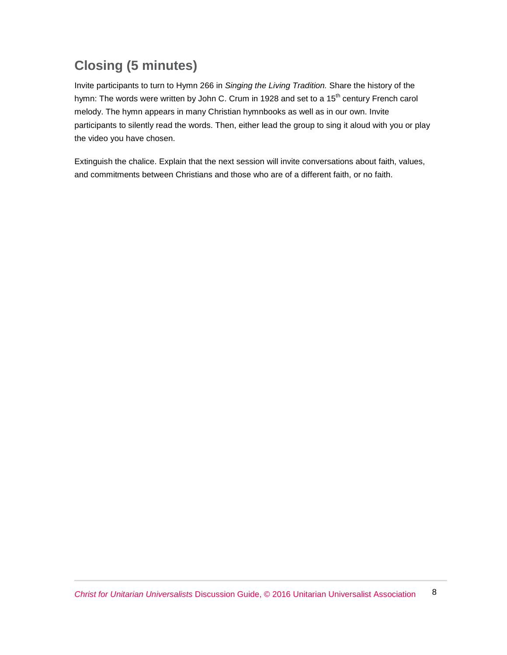# **Closing (5 minutes)**

Invite participants to turn to Hymn 266 in *Singing the Living Tradition.* Share the history of the hymn: The words were written by John C. Crum in 1928 and set to a 15<sup>th</sup> century French carol melody. The hymn appears in many Christian hymnbooks as well as in our own. Invite participants to silently read the words. Then, either lead the group to sing it aloud with you or play the video you have chosen.

Extinguish the chalice. Explain that the next session will invite conversations about faith, values, and commitments between Christians and those who are of a different faith, or no faith.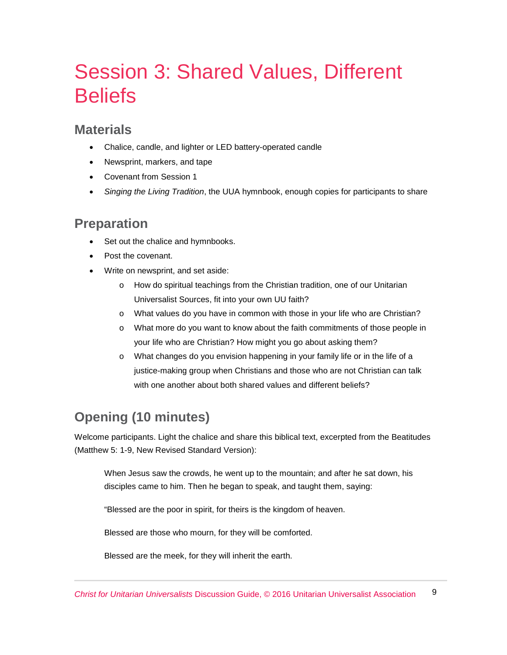# Session 3: Shared Values, Different **Beliefs**

#### **Materials**

- Chalice, candle, and lighter or LED battery-operated candle
- Newsprint, markers, and tape
- Covenant from Session 1
- *Singing the Living Tradition*, the UUA hymnbook, enough copies for participants to share

#### **Preparation**

- Set out the chalice and hymnbooks.
- Post the covenant.
- Write on newsprint, and set aside:
	- o How do spiritual teachings from the Christian tradition, one of our Unitarian Universalist Sources, fit into your own UU faith?
	- o What values do you have in common with those in your life who are Christian?
	- o What more do you want to know about the faith commitments of those people in your life who are Christian? How might you go about asking them?
	- o What changes do you envision happening in your family life or in the life of a justice-making group when Christians and those who are not Christian can talk with one another about both shared values and different beliefs?

## **Opening (10 minutes)**

Welcome participants. Light the chalice and share this biblical text, excerpted from the Beatitudes (Matthew 5: 1-9, New Revised Standard Version):

When Jesus saw the crowds, he went up to the mountain; and after he sat down, his disciples came to him. Then he began to speak, and taught them, saying:

"Blessed are the poor in spirit, for theirs is the kingdom of heaven.

Blessed are those who mourn, for they will be comforted.

Blessed are the meek, for they will inherit the earth.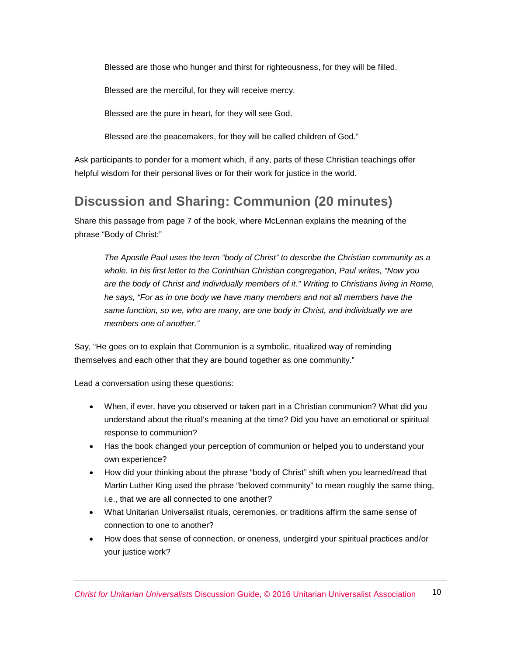Blessed are those who hunger and thirst for righteousness, for they will be filled.

Blessed are the merciful, for they will receive mercy.

Blessed are the pure in heart, for they will see God.

Blessed are the peacemakers, for they will be called children of God."

Ask participants to ponder for a moment which, if any, parts of these Christian teachings offer helpful wisdom for their personal lives or for their work for justice in the world.

#### **Discussion and Sharing: Communion (20 minutes)**

Share this passage from page 7 of the book, where McLennan explains the meaning of the phrase "Body of Christ:"

*The Apostle Paul uses the term "body of Christ" to describe the Christian community as a whole. In his first letter to the Corinthian Christian congregation, Paul writes, "Now you are the body of Christ and individually members of it." Writing to Christians living in Rome, he says, "For as in one body we have many members and not all members have the same function, so we, who are many, are one body in Christ, and individually we are members one of another."*

Say, "He goes on to explain that Communion is a symbolic, ritualized way of reminding themselves and each other that they are bound together as one community."

Lead a conversation using these questions:

- When, if ever, have you observed or taken part in a Christian communion? What did you understand about the ritual's meaning at the time? Did you have an emotional or spiritual response to communion?
- Has the book changed your perception of communion or helped you to understand your own experience?
- How did your thinking about the phrase "body of Christ" shift when you learned/read that Martin Luther King used the phrase "beloved community" to mean roughly the same thing, i.e., that we are all connected to one another?
- What Unitarian Universalist rituals, ceremonies, or traditions affirm the same sense of connection to one to another?
- How does that sense of connection, or oneness, undergird your spiritual practices and/or your justice work?